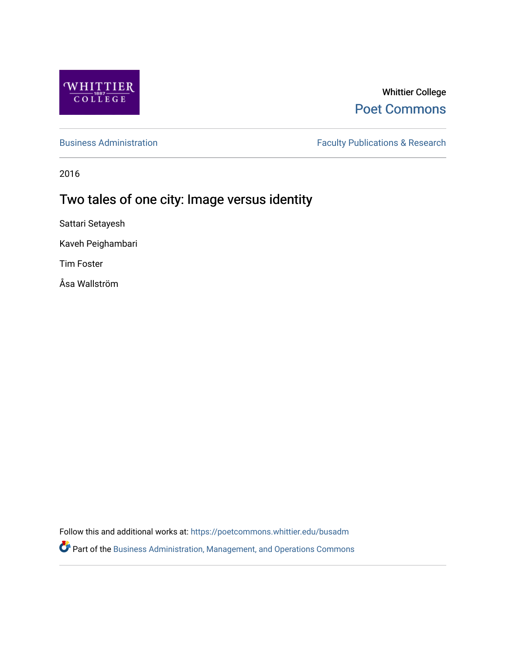

# Whittier College [Poet Commons](https://poetcommons.whittier.edu/)

[Business Administration](https://poetcommons.whittier.edu/busadm) **Faculty Publications & Research** 

2016

# Two tales of one city: Image versus identity

Sattari Setayesh

Kaveh Peighambari

Tim Foster

Åsa Wallström

Follow this and additional works at: [https://poetcommons.whittier.edu/busadm](https://poetcommons.whittier.edu/busadm?utm_source=poetcommons.whittier.edu%2Fbusadm%2F2&utm_medium=PDF&utm_campaign=PDFCoverPages)

Part of the [Business Administration, Management, and Operations Commons](http://network.bepress.com/hgg/discipline/623?utm_source=poetcommons.whittier.edu%2Fbusadm%2F2&utm_medium=PDF&utm_campaign=PDFCoverPages)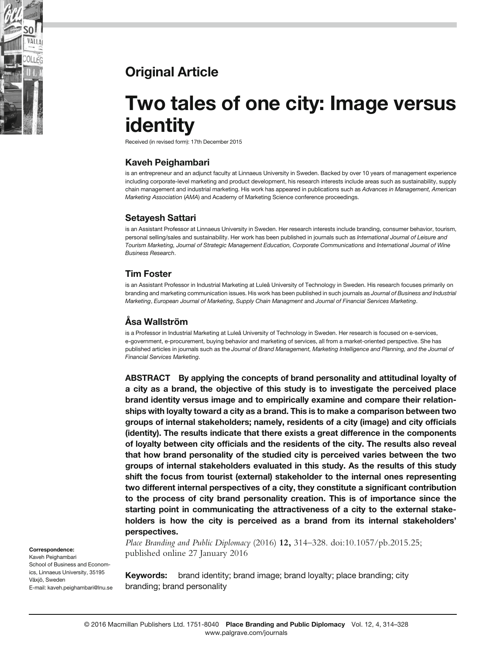

# Original Article

# Two tales of one city: Image versus identity

Received (in revised form): 17th December 2015

### Kaveh Peighambari

is an entrepreneur and an adjunct faculty at Linnaeus University in Sweden. Backed by over 10 years of management experience including corporate-level marketing and product development, his research interests include areas such as sustainability, supply chain management and industrial marketing. His work has appeared in publications such as Advances in Management, American Marketing Association (AMA) and Academy of Marketing Science conference proceedings.

### Setayesh Sattari

is an Assistant Professor at Linnaeus University in Sweden. Her research interests include branding, consumer behavior, tourism, personal selling/sales and sustainability. Her work has been published in journals such as International Journal of Leisure and Tourism Marketing, Journal of Strategic Management Education, Corporate Communications and International Journal of Wine Business Research.

### Tim Foster

is an Assistant Professor in Industrial Marketing at Luleå University of Technology in Sweden. His research focuses primarily on branding and marketing communication issues. His work has been published in such journals as Journal of Business and Industrial Marketing, European Journal of Marketing, Supply Chain Managment and Journal of Financial Services Marketing.

# Åsa Wallström

is a Professor in Industrial Marketing at Luleå University of Technology in Sweden. Her research is focused on e-services, e-government, e-procurement, buying behavior and marketing of services, all from a market-oriented perspective. She has published articles in journals such as the Journal of Brand Management, Marketing Intelligence and Planning, and the Journal of Financial Services Marketing.

ABSTRACT By applying the concepts of brand personality and attitudinal loyalty of a city as a brand, the objective of this study is to investigate the perceived place brand identity versus image and to empirically examine and compare their relationships with loyalty toward a city as a brand. This is to make a comparison between two groups of internal stakeholders; namely, residents of a city (image) and city officials (identity). The results indicate that there exists a great difference in the components of loyalty between city officials and the residents of the city. The results also reveal that how brand personality of the studied city is perceived varies between the two groups of internal stakeholders evaluated in this study. As the results of this study shift the focus from tourist (external) stakeholder to the internal ones representing two different internal perspectives of a city, they constitute a significant contribution to the process of city brand personality creation. This is of importance since the starting point in communicating the attractiveness of a city to the external stakeholders is how the city is perceived as a brand from its internal stakeholders' perspectives.

*Place Branding and Public Diplomacy* (2016) **12,** 314–328. doi:10.1057/pb.2015.25; published online 27 January 2016

Keywords: brand identity; brand image; brand loyalty; place branding; city branding; brand personality

#### Correspondence:

Kaveh Peighambari School of Business and Economics, Linnaeus University, 35195 Växjö, Sweden E-mail: kaveh.peighambari@lnu.se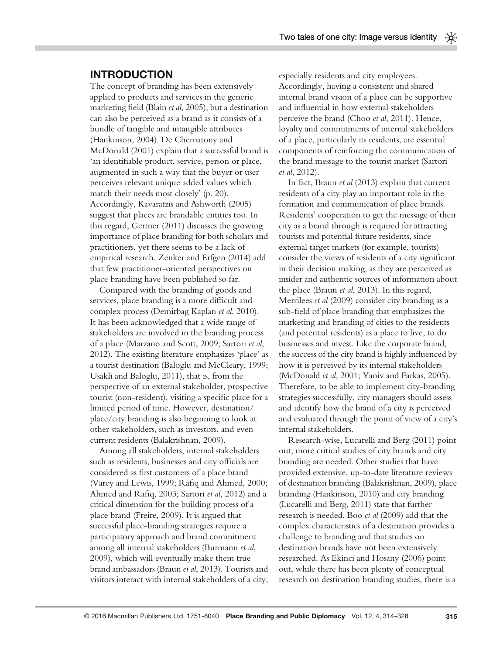# INTRODUCTION

The concept of branding has been extensively applied to products and services in the generic marketing field (Blain et al, 2005), but a destination can also be perceived as a brand as it consists of a bundle of tangible and intangible attributes (Hankinson, 2004). De Chernatony and McDonald (2001) explain that a successful brand is 'an identifiable product, service, person or place, augmented in such a way that the buyer or user perceives relevant unique added values which match their needs most closely' (p. 20). Accordingly, Kavaratzis and Ashworth (2005) suggest that places are brandable entities too. In this regard, Gertner (2011) discusses the growing importance of place branding for both scholars and practitioners, yet there seems to be a lack of empirical research. Zenker and Erfgen (2014) add that few practitioner-oriented perspectives on place branding have been published so far.

Compared with the branding of goods and services, place branding is a more difficult and complex process (Demirbag Kaplan et al, 2010). It has been acknowledged that a wide range of stakeholders are involved in the branding process of a place (Marzano and Scott, 2009; Sartori et al, 2012). The existing literature emphasizes 'place' as a tourist destination (Baloglu and McCleary, 1999; Usakli and Baloglu, 2011), that is, from the perspective of an external stakeholder, prospective tourist (non-resident), visiting a specific place for a limited period of time. However, destination/ place/city branding is also beginning to look at other stakeholders, such as investors, and even current residents (Balakrishnan, 2009).

Among all stakeholders, internal stakeholders such as residents, businesses and city officials are considered as first customers of a place brand (Varey and Lewis, 1999; Rafiq and Ahmed, 2000; Ahmed and Rafiq, 2003; Sartori et al, 2012) and a critical dimension for the building process of a place brand (Freire, 2009). It is argued that successful place-branding strategies require a participatory approach and brand commitment among all internal stakeholders (Burmann et al, 2009), which will eventually make them true brand ambassadors (Braun et al, 2013). Tourists and visitors interact with internal stakeholders of a city,

especially residents and city employees. Accordingly, having a consistent and shared internal brand vision of a place can be supportive and influential in how external stakeholders perceive the brand (Choo et al, 2011). Hence, loyalty and commitments of internal stakeholders of a place, particularly its residents, are essential components of reinforcing the communication of the brand message to the tourist market (Sartori et al, 2012).

In fact, Braun et al (2013) explain that current residents of a city play an important role in the formation and communication of place brands. Residents' cooperation to get the message of their city as a brand through is required for attracting tourists and potential future residents, since external target markets (for example, tourists) consider the views of residents of a city significant in their decision making, as they are perceived as insider and authentic sources of information about the place (Braun et al, 2013). In this regard, Merrilees et al (2009) consider city branding as a sub-field of place branding that emphasizes the marketing and branding of cities to the residents (and potential residents) as a place to live, to do businesses and invest. Like the corporate brand, the success of the city brand is highly influenced by how it is perceived by its internal stakeholders (McDonald et al, 2001; Yaniv and Farkas, 2005). Therefore, to be able to implement city-branding strategies successfully, city managers should assess and identify how the brand of a city is perceived and evaluated through the point of view of a city's internal stakeholders.

Research-wise, Lucarelli and Berg (2011) point out, more critical studies of city brands and city branding are needed. Other studies that have provided extensive, up-to-date literature reviews of destination branding (Balakrishnan, 2009), place branding (Hankinson, 2010) and city branding (Lucarelli and Berg, 2011) state that further research is needed. Boo et al (2009) add that the complex characteristics of a destination provides a challenge to branding and that studies on destination brands have not been extensively researched. As Ekinci and Hosany (2006) point out, while there has been plenty of conceptual research on destination branding studies, there is a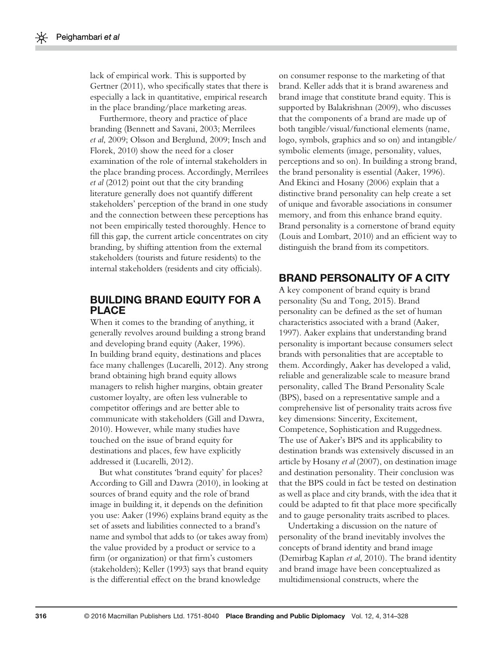lack of empirical work. This is supported by Gertner (2011), who specifically states that there is especially a lack in quantitative, empirical research in the place branding/place marketing areas.

Furthermore, theory and practice of place branding (Bennett and Savani, 2003; Merrilees et al, 2009; Olsson and Berglund, 2009; Insch and Florek, 2010) show the need for a closer examination of the role of internal stakeholders in the place branding process. Accordingly, Merrilees et al (2012) point out that the city branding literature generally does not quantify different stakeholders' perception of the brand in one study and the connection between these perceptions has not been empirically tested thoroughly. Hence to fill this gap, the current article concentrates on city branding, by shifting attention from the external stakeholders (tourists and future residents) to the internal stakeholders (residents and city officials).

# BUILDING BRAND EQUITY FOR A PLACE

When it comes to the branding of anything, it generally revolves around building a strong brand and developing brand equity (Aaker, 1996). In building brand equity, destinations and places face many challenges (Lucarelli, 2012). Any strong brand obtaining high brand equity allows managers to relish higher margins, obtain greater customer loyalty, are often less vulnerable to competitor offerings and are better able to communicate with stakeholders (Gill and Dawra, 2010). However, while many studies have touched on the issue of brand equity for destinations and places, few have explicitly addressed it (Lucarelli, 2012).

But what constitutes 'brand equity' for places? According to Gill and Dawra (2010), in looking at sources of brand equity and the role of brand image in building it, it depends on the definition you use: Aaker (1996) explains brand equity as the set of assets and liabilities connected to a brand's name and symbol that adds to (or takes away from) the value provided by a product or service to a firm (or organization) or that firm's customers (stakeholders); Keller (1993) says that brand equity is the differential effect on the brand knowledge

on consumer response to the marketing of that brand. Keller adds that it is brand awareness and brand image that constitute brand equity. This is supported by Balakrishnan (2009), who discusses that the components of a brand are made up of both tangible/visual/functional elements (name, logo, symbols, graphics and so on) and intangible/ symbolic elements (image, personality, values, perceptions and so on). In building a strong brand, the brand personality is essential (Aaker, 1996). And Ekinci and Hosany (2006) explain that a distinctive brand personality can help create a set of unique and favorable associations in consumer memory, and from this enhance brand equity. Brand personality is a cornerstone of brand equity (Louis and Lombart, 2010) and an efficient way to distinguish the brand from its competitors.

# BRAND PERSONALITY OF A CITY

A key component of brand equity is brand personality (Su and Tong, 2015). Brand personality can be defined as the set of human characteristics associated with a brand (Aaker, 1997). Aaker explains that understanding brand personality is important because consumers select brands with personalities that are acceptable to them. Accordingly, Aaker has developed a valid, reliable and generalizable scale to measure brand personality, called The Brand Personality Scale (BPS), based on a representative sample and a comprehensive list of personality traits across five key dimensions: Sincerity, Excitement, Competence, Sophistication and Ruggedness. The use of Aaker's BPS and its applicability to destination brands was extensively discussed in an article by Hosany et al (2007), on destination image and destination personality. Their conclusion was that the BPS could in fact be tested on destination as well as place and city brands, with the idea that it could be adapted to fit that place more specifically and to gauge personality traits ascribed to places.

Undertaking a discussion on the nature of personality of the brand inevitably involves the concepts of brand identity and brand image (Demirbag Kaplan et al, 2010). The brand identity and brand image have been conceptualized as multidimensional constructs, where the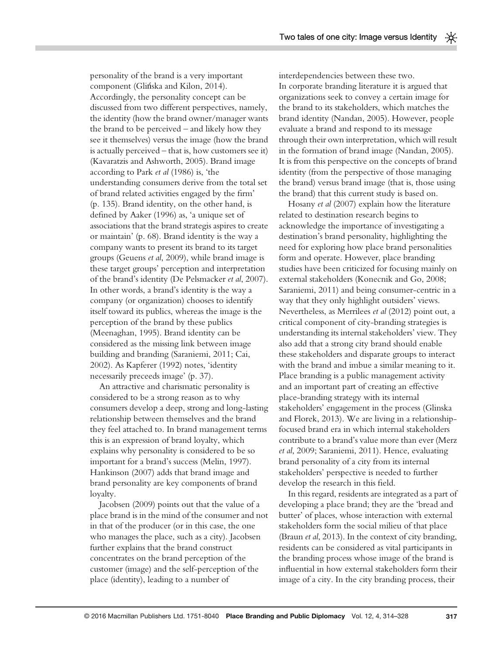personality of the brand is a very important component (Glińska and Kilon, 2014). Accordingly, the personality concept can be discussed from two different perspectives, namely, the identity (how the brand owner/manager wants the brand to be perceived – and likely how they see it themselves) versus the image (how the brand is actually perceived – that is, how customers see it) (Kavaratzis and Ashworth, 2005). Brand image according to Park et al (1986) is, 'the understanding consumers derive from the total set of brand related activities engaged by the firm' (p. 135). Brand identity, on the other hand, is defined by Aaker (1996) as, 'a unique set of associations that the brand strategis aspires to create or maintain' (p. 68). Brand identity is the way a company wants to present its brand to its target groups (Geuens et al, 2009), while brand image is these target groups' perception and interpretation of the brand's identity (De Pelsmacker et al, 2007). In other words, a brand's identity is the way a company (or organization) chooses to identify itself toward its publics, whereas the image is the perception of the brand by these publics (Meenaghan, 1995). Brand identity can be considered as the missing link between image building and branding (Saraniemi, 2011; Cai, 2002). As Kapferer (1992) notes, 'identity necessarily preceeds image' (p. 37).

An attractive and charismatic personality is considered to be a strong reason as to why consumers develop a deep, strong and long-lasting relationship between themselves and the brand they feel attached to. In brand management terms this is an expression of brand loyalty, which explains why personality is considered to be so important for a brand's success (Melin, 1997). Hankinson (2007) adds that brand image and brand personality are key components of brand loyalty.

Jacobsen (2009) points out that the value of a place brand is in the mind of the consumer and not in that of the producer (or in this case, the one who manages the place, such as a city). Jacobsen further explains that the brand construct concentrates on the brand perception of the customer (image) and the self-perception of the place (identity), leading to a number of

interdependencies between these two.

In corporate branding literature it is argued that organizations seek to convey a certain image for the brand to its stakeholders, which matches the brand identity (Nandan, 2005). However, people evaluate a brand and respond to its message through their own interpretation, which will result in the formation of brand image (Nandan, 2005). It is from this perspective on the concepts of brand identity (from the perspective of those managing the brand) versus brand image (that is, those using the brand) that this current study is based on.

Hosany et al (2007) explain how the literature related to destination research begins to acknowledge the importance of investigating a destination's brand personality, highlighting the need for exploring how place brand personalities form and operate. However, place branding studies have been criticized for focusing mainly on external stakeholders (Konecnik and Go, 2008; Saraniemi, 2011) and being consumer-centric in a way that they only highlight outsiders' views. Nevertheless, as Merrilees et al (2012) point out, a critical component of city-branding strategies is understanding its internal stakeholders' view. They also add that a strong city brand should enable these stakeholders and disparate groups to interact with the brand and imbue a similar meaning to it. Place branding is a public management activity and an important part of creating an effective place-branding strategy with its internal stakeholders' engagement in the process (Glinska and Florek, 2013). We are living in a relationshipfocused brand era in which internal stakeholders contribute to a brand's value more than ever (Merz et al, 2009; Saraniemi, 2011). Hence, evaluating brand personality of a city from its internal stakeholders' perspective is needed to further develop the research in this field.

In this regard, residents are integrated as a part of developing a place brand; they are the 'bread and butter' of places, whose interaction with external stakeholders form the social milieu of that place (Braun et al, 2013). In the context of city branding, residents can be considered as vital participants in the branding process whose image of the brand is influential in how external stakeholders form their image of a city. In the city branding process, their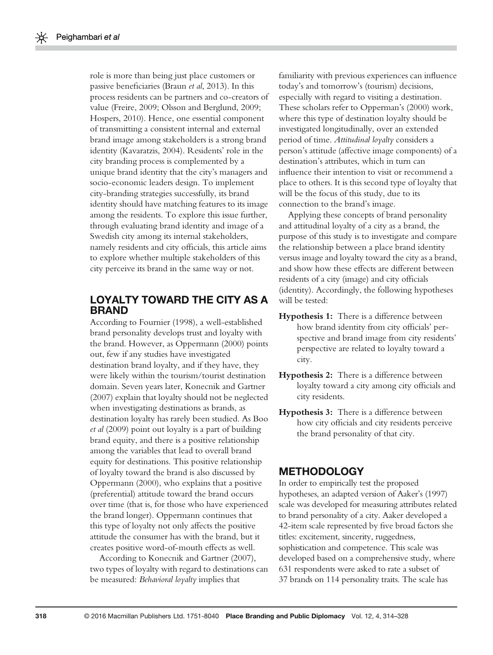role is more than being just place customers or passive beneficiaries (Braun et al, 2013). In this process residents can be partners and co-creators of value (Freire, 2009; Olsson and Berglund, 2009; Hospers, 2010). Hence, one essential component of transmitting a consistent internal and external brand image among stakeholders is a strong brand identity (Kavaratzis, 2004). Residents' role in the city branding process is complemented by a unique brand identity that the city's managers and socio-economic leaders design. To implement city-branding strategies successfully, its brand identity should have matching features to its image among the residents. To explore this issue further, through evaluating brand identity and image of a Swedish city among its internal stakeholders, namely residents and city officials, this article aims to explore whether multiple stakeholders of this city perceive its brand in the same way or not.

# LOYALTY TOWARD THE CITY AS A BRAND

According to Fournier (1998), a well-established brand personality develops trust and loyalty with the brand. However, as Oppermann (2000) points out, few if any studies have investigated destination brand loyalty, and if they have, they were likely within the tourism/tourist destination domain. Seven years later, Konecnik and Gartner (2007) explain that loyalty should not be neglected when investigating destinations as brands, as destination loyalty has rarely been studied. As Boo et al (2009) point out loyalty is a part of building brand equity, and there is a positive relationship among the variables that lead to overall brand equity for destinations. This positive relationship of loyalty toward the brand is also discussed by Oppermann (2000), who explains that a positive (preferential) attitude toward the brand occurs over time (that is, for those who have experienced the brand longer). Oppermann continues that this type of loyalty not only affects the positive attitude the consumer has with the brand, but it creates positive word-of-mouth effects as well.

According to Konecnik and Gartner (2007), two types of loyalty with regard to destinations can be measured: *Behavioral loyalty* implies that

familiarity with previous experiences can influence today's and tomorrow's (tourism) decisions, especially with regard to visiting a destination. These scholars refer to Opperman's (2000) work, where this type of destination loyalty should be investigated longitudinally, over an extended period of time. Attitudinal loyalty considers a person's attitude (affective image components) of a destination's attributes, which in turn can influence their intention to visit or recommend a place to others. It is this second type of loyalty that will be the focus of this study, due to its connection to the brand's image.

Applying these concepts of brand personality and attitudinal loyalty of a city as a brand, the purpose of this study is to investigate and compare the relationship between a place brand identity versus image and loyalty toward the city as a brand, and show how these effects are different between residents of a city (image) and city officials (identity). Accordingly, the following hypotheses will be tested:

- Hypothesis 1: There is a difference between how brand identity from city officials' perspective and brand image from city residents' perspective are related to loyalty toward a city.
- Hypothesis 2: There is a difference between loyalty toward a city among city officials and city residents.
- Hypothesis 3: There is a difference between how city officials and city residents perceive the brand personality of that city.

# METHODOLOGY

In order to empirically test the proposed hypotheses, an adapted version of Aaker's (1997) scale was developed for measuring attributes related to brand personality of a city. Aaker developed a 42-item scale represented by five broad factors she titles: excitement, sincerity, ruggedness, sophistication and competence. This scale was developed based on a comprehensive study, where 631 respondents were asked to rate a subset of 37 brands on 114 personality traits. The scale has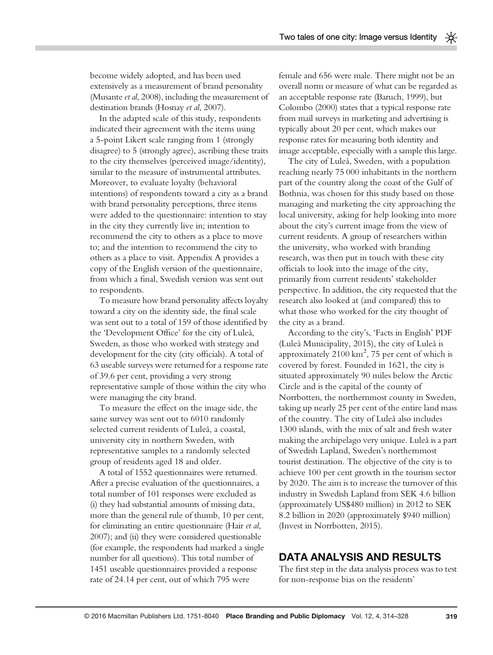become widely adopted, and has been used extensively as a measurement of brand personality (Musante et al, 2008), including the measurement of destination brands (Hosnay et al, 2007).

In the adapted scale of this study, respondents indicated their agreement with the items using a 5-point Likert scale ranging from 1 (strongly disagree) to 5 (strongly agree), ascribing these traits to the city themselves (perceived image/identity), similar to the measure of instrumental attributes. Moreover, to evaluate loyalty (behavioral intentions) of respondents toward a city as a brand with brand personality perceptions, three items were added to the questionnaire: intention to stay in the city they currently live in; intention to recommend the city to others as a place to move to; and the intention to recommend the city to others as a place to visit. Appendix A provides a copy of the English version of the questionnaire, from which a final, Swedish version was sent out to respondents.

To measure how brand personality affects loyalty toward a city on the identity side, the final scale was sent out to a total of 159 of those identified by the 'Development Office' for the city of Luleå, Sweden, as those who worked with strategy and development for the city (city officials). A total of 63 useable surveys were returned for a response rate of 39.6 per cent, providing a very strong representative sample of those within the city who were managing the city brand.

To measure the effect on the image side, the same survey was sent out to 6010 randomly selected current residents of Luleå, a coastal, university city in northern Sweden, with representative samples to a randomly selected group of residents aged 18 and older.

A total of 1552 questionnaires were returned. After a precise evaluation of the questionnaires, a total number of 101 responses were excluded as (i) they had substantial amounts of missing data, more than the general rule of thumb, 10 per cent, for eliminating an entire questionnaire (Hair et al, 2007); and (ii) they were considered questionable (for example, the respondents had marked a single number for all questions). This total number of 1451 useable questionnaires provided a response rate of 24.14 per cent, out of which 795 were

female and 656 were male. There might not be an overall norm or measure of what can be regarded as an acceptable response rate (Baruch, 1999), but Colombo (2000) states that a typical response rate from mail surveys in marketing and advertising is typically about 20 per cent, which makes our response rates for measuring both identity and image acceptable, especially with a sample this large.

The city of Luleå, Sweden, with a population reaching nearly 75 000 inhabitants in the northern part of the country along the coast of the Gulf of Bothnia, was chosen for this study based on those managing and marketing the city approaching the local university, asking for help looking into more about the city's current image from the view of current residents. A group of researchers within the university, who worked with branding research, was then put in touch with these city officials to look into the image of the city, primarily from current residents' stakeholder perspective. In addition, the city requested that the research also looked at (and compared) this to what those who worked for the city thought of the city as a brand.

According to the city's, 'Facts in English' PDF (Luleå Municipality, 2015), the city of Luleå is approximately  $2100 \text{ km}^2$ , 75 per cent of which is covered by forest. Founded in 1621, the city is situated approximately 90 miles below the Arctic Circle and is the capital of the county of Norrbotten, the northernmost county in Sweden, taking up nearly 25 per cent of the entire land mass of the country. The city of Luleå also includes 1300 islands, with the mix of salt and fresh water making the archipelago very unique. Luleå is a part of Swedish Lapland, Sweden's northernmost tourist destination. The objective of the city is to achieve 100 per cent growth in the tourism sector by 2020. The aim is to increase the turnover of this industry in Swedish Lapland from SEK 4.6 billion (approximately US\$480 million) in 2012 to SEK 8.2 billion in 2020 (approximately \$940 million) (Invest in Norrbotten, 2015).

# DATA ANALYSIS AND RESULTS

The first step in the data analysis process was to test for non-response bias on the residents'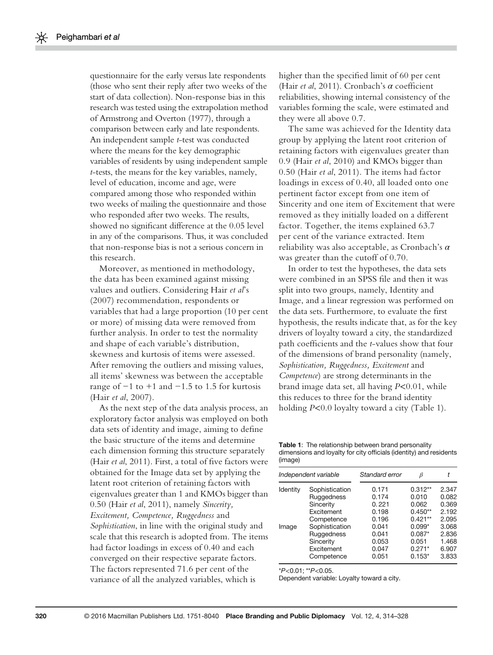questionnaire for the early versus late respondents (those who sent their reply after two weeks of the start of data collection). Non-response bias in this research was tested using the extrapolation method of Armstrong and Overton (1977), through a comparison between early and late respondents. An independent sample t-test was conducted where the means for the key demographic variables of residents by using independent sample t-tests, the means for the key variables, namely, level of education, income and age, were compared among those who responded within two weeks of mailing the questionnaire and those who responded after two weeks. The results, showed no significant difference at the 0.05 level in any of the comparisons. Thus, it was concluded that non-response bias is not a serious concern in this research.

Moreover, as mentioned in methodology, the data has been examined against missing values and outliers. Considering Hair et al's (2007) recommendation, respondents or variables that had a large proportion (10 per cent or more) of missing data were removed from further analysis. In order to test the normality and shape of each variable's distribution, skewness and kurtosis of items were assessed. After removing the outliers and missing values, all items' skewness was between the acceptable range of  $-1$  to  $+1$  and  $-1.5$  to 1.5 for kurtosis (Hair et al, 2007).

As the next step of the data analysis process, an exploratory factor analysis was employed on both data sets of identity and image, aiming to define the basic structure of the items and determine each dimension forming this structure separately (Hair et al, 2011). First, a total of five factors were obtained for the Image data set by applying the latent root criterion of retaining factors with eigenvalues greater than 1 and KMOs bigger than 0.50 (Hair et al, 2011), namely Sincerity, Excitement, Competence, Ruggedness and Sophistication, in line with the original study and scale that this research is adopted from. The items had factor loadings in excess of 0.40 and each converged on their respective separate factors. The factors represented 71.6 per cent of the variance of all the analyzed variables, which is

higher than the specified limit of 60 per cent (Hair et al, 2011). Cronbach's  $\alpha$  coefficient reliabilities, showing internal consistency of the variables forming the scale, were estimated and they were all above 0.7.

The same was achieved for the Identity data group by applying the latent root criterion of retaining factors with eigenvalues greater than 0.9 (Hair et al, 2010) and KMOs bigger than 0.50 (Hair et al, 2011). The items had factor loadings in excess of 0.40, all loaded onto one pertinent factor except from one item of Sincerity and one item of Excitement that were removed as they initially loaded on a different factor. Together, the items explained 63.7 per cent of the variance extracted. Item reliability was also acceptable, as Cronbach's  $\alpha$ was greater than the cutoff of 0.70.

In order to test the hypotheses, the data sets were combined in an SPSS file and then it was split into two groups, namely, Identity and Image, and a linear regression was performed on the data sets. Furthermore, to evaluate the first hypothesis, the results indicate that, as for the key drivers of loyalty toward a city, the standardized path coefficients and the t-values show that four of the dimensions of brand personality (namely, Sophistication, Ruggedness, Excitement and Competence) are strong determinants in the brand image data set, all having  $P<0.01$ , while this reduces to three for the brand identity holding P<0.0 loyalty toward a city (Table 1).

Table 1: The relationship between brand personality dimensions and loyalty for city officials (identity) and residents (image)

|                   | Independent variable                                                                                                                           | Standard error                                                                         | ß                                                                                                              |                                                                                        |
|-------------------|------------------------------------------------------------------------------------------------------------------------------------------------|----------------------------------------------------------------------------------------|----------------------------------------------------------------------------------------------------------------|----------------------------------------------------------------------------------------|
| Identity<br>Image | Sophistication<br>Ruggedness<br>Sincerity<br>Excitement<br>Competence<br>Sophistication<br>Ruggedness<br>Sincerity<br>Excitement<br>Competence | 0.171<br>0.174<br>0.221<br>0.198<br>0.196<br>0.041<br>0.041<br>0.053<br>0.047<br>0.051 | $0.312**$<br>0.010<br>0.062<br>$0.450**$<br>$0.421**$<br>$0.099*$<br>$0.087*$<br>0.051<br>$0.271*$<br>$0.153*$ | 2.347<br>0.082<br>0.369<br>2.192<br>2.095<br>3.068<br>2.836<br>1.468<br>6.907<br>3.833 |
|                   |                                                                                                                                                |                                                                                        |                                                                                                                |                                                                                        |

\*P<0.01; \*\*P<0.05.

Dependent variable: Loyalty toward a city.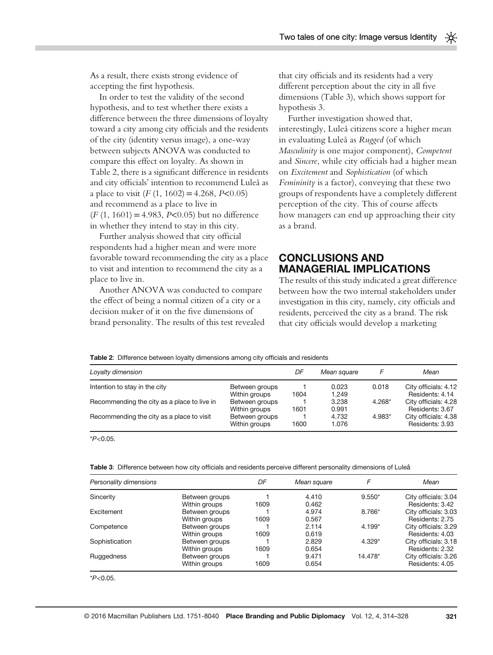As a result, there exists strong evidence of accepting the first hypothesis.

In order to test the validity of the second hypothesis, and to test whether there exists a difference between the three dimensions of loyalty toward a city among city officials and the residents of the city (identity versus image), a one-way between subjects ANOVA was conducted to compare this effect on loyalty. As shown in Table 2, there is a significant difference in residents and city officials' intention to recommend Luleå as a place to visit  $(F(1, 1602)=4.268, P<0.05)$ and recommend as a place to live in  $(F (1, 1601) = 4.983, P<0.05)$  but no difference in whether they intend to stay in this city.

Further analysis showed that city official respondents had a higher mean and were more favorable toward recommending the city as a place to visit and intention to recommend the city as a place to live in.

Another ANOVA was conducted to compare the effect of being a normal citizen of a city or a decision maker of it on the five dimensions of brand personality. The results of this test revealed

that city officials and its residents had a very different perception about the city in all five dimensions (Table 3), which shows support for hypothesis 3.

Further investigation showed that, interestingly, Luleå citizens score a higher mean in evaluating Luleå as Rugged (of which Masculinity is one major component), Competent and Sincere, while city officials had a higher mean on Excitement and Sophistication (of which Femininity is a factor), conveying that these two groups of respondents have a completely different perception of the city. This of course affects how managers can end up approaching their city as a brand.

### CONCLUSIONS AND MANAGERIAL IMPLICATIONS

The results of this study indicated a great difference between how the two internal stakeholders under investigation in this city, namely, city officials and residents, perceived the city as a brand. The risk that city officials would develop a marketing

Table 2: Difference between loyalty dimensions among city officials and residents

| Loyalty dimension                           |                | DF   | Mean square |          | Mean                 |
|---------------------------------------------|----------------|------|-------------|----------|----------------------|
| Intention to stay in the city               | Between groups |      | 0.023       | 0.018    | City officials: 4.12 |
|                                             | Within groups  | 1604 | 1.249       |          | Residents: 4.14      |
| Recommending the city as a place to live in | Between groups |      | 3.238       | 4.268*   | City officials: 4.28 |
|                                             | Within groups  | 1601 | 0.991       |          | Residents: 3.67      |
| Recommending the city as a place to visit   | Between groups |      | 4.732       | $4.983*$ | City officials: 4.38 |
|                                             | Within groups  | 1600 | 1.076       |          | Residents: 3.93      |

 $*P<0.05$ .

|  | Table 3: Difference between how city officials and residents perceive different personality dimensions of Luleå |  |  |  |  |  |  |  |
|--|-----------------------------------------------------------------------------------------------------------------|--|--|--|--|--|--|--|
|--|-----------------------------------------------------------------------------------------------------------------|--|--|--|--|--|--|--|

| Personality dimensions |                | DF   | Mean square | F        | Mean                 |
|------------------------|----------------|------|-------------|----------|----------------------|
| Sincerity              | Between groups |      | 4.410       | $9.550*$ | City officials: 3.04 |
|                        | Within groups  | 1609 | 0.462       |          | Residents: 3.42      |
| Excitement             | Between groups |      | 4.974       | $8.766*$ | City officials: 3.03 |
|                        | Within groups  | 1609 | 0.567       |          | Residents: 2.75      |
| Competence             | Between groups |      | 2.114       | $4.199*$ | City officials: 3.29 |
|                        | Within groups  | 1609 | 0.619       |          | Residents: 4.03      |
| Sophistication         | Between groups |      | 2.829       | $4.329*$ | City officials: 3.18 |
|                        | Within groups  | 1609 | 0.654       |          | Residents: 2.32      |
| Ruggedness             | Between groups |      | 9.471       | 14.478*  | City officials: 3.26 |
|                        | Within groups  | 1609 | 0.654       |          | Residents: 4.05      |
|                        |                |      |             |          |                      |

 $*P<0.05$ .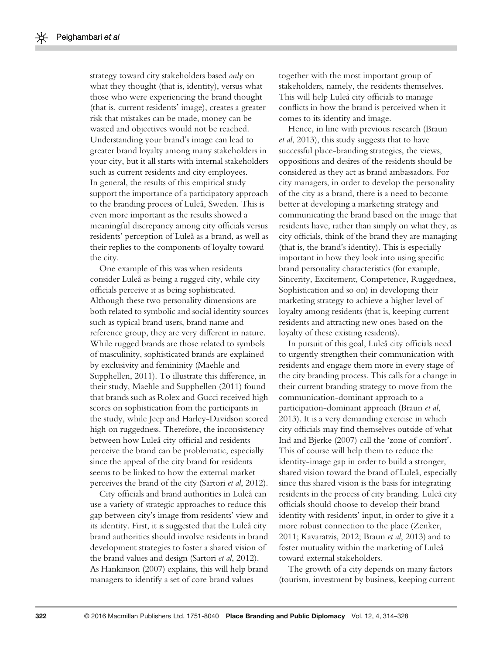strategy toward city stakeholders based only on what they thought (that is, identity), versus what those who were experiencing the brand thought (that is, current residents' image), creates a greater risk that mistakes can be made, money can be wasted and objectives would not be reached. Understanding your brand's image can lead to greater brand loyalty among many stakeholders in your city, but it all starts with internal stakeholders such as current residents and city employees. In general, the results of this empirical study support the importance of a participatory approach to the branding process of Luleå, Sweden. This is even more important as the results showed a meaningful discrepancy among city officials versus residents' perception of Luleå as a brand, as well as their replies to the components of loyalty toward the city.

One example of this was when residents consider Luleå as being a rugged city, while city officials perceive it as being sophisticated. Although these two personality dimensions are both related to symbolic and social identity sources such as typical brand users, brand name and reference group, they are very different in nature. While rugged brands are those related to symbols of masculinity, sophisticated brands are explained by exclusivity and femininity (Maehle and Supphellen, 2011). To illustrate this difference, in their study, Maehle and Supphellen (2011) found that brands such as Rolex and Gucci received high scores on sophistication from the participants in the study, while Jeep and Harley-Davidson scored high on ruggedness. Therefore, the inconsistency between how Luleå city official and residents perceive the brand can be problematic, especially since the appeal of the city brand for residents seems to be linked to how the external market perceives the brand of the city (Sartori et al, 2012).

City officials and brand authorities in Luleå can use a variety of strategic approaches to reduce this gap between city's image from residents' view and its identity. First, it is suggested that the Luleå city brand authorities should involve residents in brand development strategies to foster a shared vision of the brand values and design (Sartori et al, 2012). As Hankinson (2007) explains, this will help brand managers to identify a set of core brand values

together with the most important group of stakeholders, namely, the residents themselves. This will help Luleå city officials to manage conflicts in how the brand is perceived when it comes to its identity and image.

Hence, in line with previous research (Braun et al, 2013), this study suggests that to have successful place-branding strategies, the views, oppositions and desires of the residents should be considered as they act as brand ambassadors. For city managers, in order to develop the personality of the city as a brand, there is a need to become better at developing a marketing strategy and communicating the brand based on the image that residents have, rather than simply on what they, as city officials, think of the brand they are managing (that is, the brand's identity). This is especially important in how they look into using specific brand personality characteristics (for example, Sincerity, Excitement, Competence, Ruggedness, Sophistication and so on) in developing their marketing strategy to achieve a higher level of loyalty among residents (that is, keeping current residents and attracting new ones based on the loyalty of these existing residents).

In pursuit of this goal, Luleå city officials need to urgently strengthen their communication with residents and engage them more in every stage of the city branding process. This calls for a change in their current branding strategy to move from the communication-dominant approach to a participation-dominant approach (Braun et al, 2013). It is a very demanding exercise in which city officials may find themselves outside of what Ind and Bjerke (2007) call the 'zone of comfort'. This of course will help them to reduce the identity-image gap in order to build a stronger, shared vision toward the brand of Luleå, especially since this shared vision is the basis for integrating residents in the process of city branding. Luleå city officials should choose to develop their brand identity with residents' input, in order to give it a more robust connection to the place (Zenker, 2011; Kavaratzis, 2012; Braun et al, 2013) and to foster mutuality within the marketing of Luleå toward external stakeholders.

The growth of a city depends on many factors (tourism, investment by business, keeping current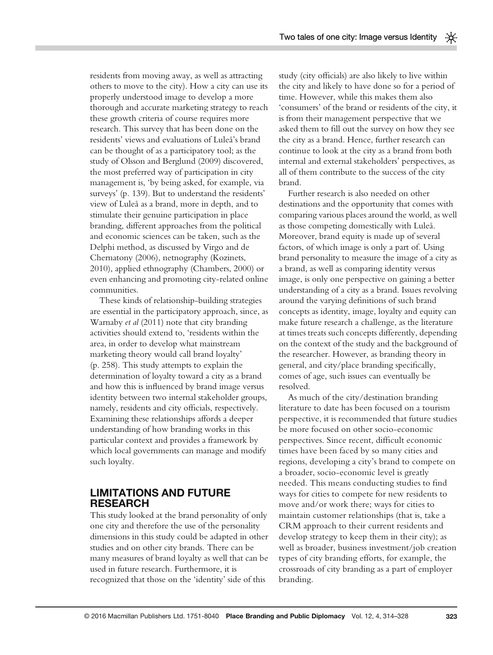residents from moving away, as well as attracting others to move to the city). How a city can use its properly understood image to develop a more thorough and accurate marketing strategy to reach these growth criteria of course requires more research. This survey that has been done on the residents' views and evaluations of Luleå's brand can be thought of as a participatory tool; as the study of Olsson and Berglund (2009) discovered, the most preferred way of participation in city management is, 'by being asked, for example, via surveys' (p. 139). But to understand the residents' view of Luleå as a brand, more in depth, and to stimulate their genuine participation in place branding, different approaches from the political and economic sciences can be taken, such as the Delphi method, as discussed by Virgo and de Chernatony (2006), netnography (Kozinets, 2010), applied ethnography (Chambers, 2000) or even enhancing and promoting city-related online communities.

These kinds of relationship-building strategies are essential in the participatory approach, since, as Warnaby et al (2011) note that city branding activities should extend to, 'residents within the area, in order to develop what mainstream marketing theory would call brand loyalty' (p. 258). This study attempts to explain the determination of loyalty toward a city as a brand and how this is influenced by brand image versus identity between two internal stakeholder groups, namely, residents and city officials, respectively. Examining these relationships affords a deeper understanding of how branding works in this particular context and provides a framework by which local governments can manage and modify such loyalty.

# LIMITATIONS AND FUTURE RESEARCH

This study looked at the brand personality of only one city and therefore the use of the personality dimensions in this study could be adapted in other studies and on other city brands. There can be many measures of brand loyalty as well that can be used in future research. Furthermore, it is recognized that those on the 'identity' side of this

study (city officials) are also likely to live within the city and likely to have done so for a period of time. However, while this makes them also 'consumers' of the brand or residents of the city, it is from their management perspective that we asked them to fill out the survey on how they see the city as a brand. Hence, further research can continue to look at the city as a brand from both internal and external stakeholders' perspectives, as all of them contribute to the success of the city brand.

Further research is also needed on other destinations and the opportunity that comes with comparing various places around the world, as well as those competing domestically with Luleå. Moreover, brand equity is made up of several factors, of which image is only a part of. Using brand personality to measure the image of a city as a brand, as well as comparing identity versus image, is only one perspective on gaining a better understanding of a city as a brand. Issues revolving around the varying definitions of such brand concepts as identity, image, loyalty and equity can make future research a challenge, as the literature at times treats such concepts differently, depending on the context of the study and the background of the researcher. However, as branding theory in general, and city/place branding specifically, comes of age, such issues can eventually be resolved.

As much of the city/destination branding literature to date has been focused on a tourism perspective, it is recommended that future studies be more focused on other socio-economic perspectives. Since recent, difficult economic times have been faced by so many cities and regions, developing a city's brand to compete on a broader, socio-economic level is greatly needed. This means conducting studies to find ways for cities to compete for new residents to move and/or work there; ways for cities to maintain customer relationships (that is, take a CRM approach to their current residents and develop strategy to keep them in their city); as well as broader, business investment/job creation types of city branding efforts, for example, the crossroads of city branding as a part of employer branding.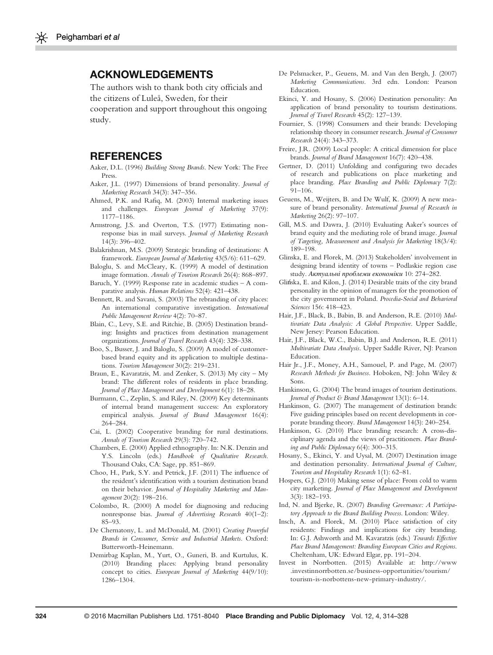### ACKNOWLEDGEMENTS

The authors wish to thank both city officials and the citizens of Luleå, Sweden, for their cooperation and support throughout this ongoing study.

### **REFERENCES**

- Aaker, D.L. (1996) Building Strong Brands. New York: The Free Press.
- Aaker, J.L. (1997) Dimensions of brand personality. Journal of Marketing Research 34(3): 347–356.
- Ahmed, P.K. and Rafiq, M. (2003) Internal marketing issues and challenges. European Journal of Marketing 37(9): 1177–1186.
- Armstrong, J.S. and Overton, T.S. (1977) Estimating nonresponse bias in mail surveys. Journal of Marketing Research 14(3): 396–402.
- Balakrishnan, M.S. (2009) Strategic branding of destinations: A framework. European Journal of Marketing 43(5/6): 611–629.
- Baloglu, S. and McCleary, K. (1999) A model of destination image formation. Annals of Tourism Research 26(4): 868–897.
- Baruch, Y. (1999) Response rate in academic studies A comparative analysis. Human Relations 52(4): 421–438.
- Bennett, R. and Savani, S. (2003) The rebranding of city places: An international comparative investigation. International Public Management Review 4(2): 70–87.
- Blain, C., Levy, S.E. and Ritchie, B. (2005) Destination branding: Insights and practices from destination management organizations. Journal of Travel Research 43(4): 328–338.
- Boo, S., Busser, J. and Baloglu, S. (2009) A model of customerbased brand equity and its application to multiple destinations. Tourism Management 30(2): 219–231.
- Braun, E., Kavaratzis, M. and Zenker, S. (2013) My city My brand: The different roles of residents in place branding. Journal of Place Management and Development 6(1): 18–28.
- Burmann, C., Zeplin, S. and Riley, N. (2009) Key determinants of internal brand management success: An exploratory empirical analysis. Journal of Brand Management 16(4): 264–284.
- Cai, L. (2002) Cooperative branding for rural destinations. Annals of Tourism Research 29(3): 720–742.
- Chambers, E. (2000) Applied ethnography. In: N.K. Denzin and Y.S. Lincoln (eds.) Handbook of Qualitative Research. Thousand Oaks, CA: Sage, pp. 851–869.
- Choo, H., Park, S.Y. and Petrick, J.F. (2011) The influence of the resident's identification with a tourism destination brand on their behavior. Journal of Hospitality Marketing and Management 20(2): 198–216.
- Colombo, R. (2000) A model for diagnosing and reducing nonresponse bias. Journal of Advertising Research 40(1–2): 85–93.
- De Chernatony, L. and McDonald, M. (2001) Creating Powerful Brands in Consumer, Service and Industrial Markets. Oxford: Butterworth-Heinemann.
- Demirbag Kaplan, M., Yurt, O., Guneri, B. and Kurtulus, K. (2010) Branding places: Applying brand personality concept to cities. European Journal of Marketing 44(9/10): 1286–1304.
- De Pelsmacker, P., Geuens, M. and Van den Bergh, J. (2007) Marketing Communications. 3rd edn. London: Pearson **Education**
- Ekinci, Y. and Hosany, S. (2006) Destination personality: An application of brand personality to tourism destinations. Journal of Travel Research 45(2): 127–139.
- Fournier, S. (1998) Consumers and their brands: Developing relationship theory in consumer research. Journal of Consumer Research 24(4): 343–373.
- Freire, J.R. (2009) Local people: A critical dimension for place brands. Journal of Brand Management 16(7): 420–438.
- Gertner, D. (2011) Unfolding and configuring two decades of research and publications on place marketing and place branding. Place Branding and Public Diplomacy 7(2): 91–106.
- Geuens, M., Weijters, B. and De Wulf, K. (2009) A new measure of brand personality. International Journal of Research in Marketing 26(2): 97–107.
- Gill, M.S. and Dawra, J. (2010) Evaluating Aaker's sources of brand equity and the mediating role of brand image. Journal of Targeting, Measurement and Analysis for Marketing 18(3/4): 189–198.
- Glinska, E. and Florek, M. (2013) Stakeholders' involvement in designing brand identity of towns – Podlaskie region case study. Актуальні проблеми економіки 10: 274–282.
- Glińska, E. and Kilon, J. (2014) Desirable traits of the city brand personality in the opinion of managers for the promotion of the city government in Poland. Procedia-Social and Behavioral Sciences 156: 418–423.
- Hair, J.F., Black, B., Babin, B. and Anderson, R.E. (2010) Multivariate Data Analysis: A Global Perspective. Upper Saddle, New Jersey: Pearson Education.
- Hair, J.F., Black, W.C., Babin, B.J. and Anderson, R.E. (2011) Multivariate Data Analysis. Upper Saddle River, NJ: Pearson Education.
- Hair Jr., J.F., Money, A.H., Samouel, P. and Page, M. (2007) Research Methods for Business. Hoboken, NJ: John Wiley & Sons.
- Hankinson, G. (2004) The brand images of tourism destinations. Journal of Product & Brand Management 13(1): 6–14.
- Hankinson, G. (2007) The management of destination brands: Five guiding principles based on recent developments in corporate branding theory. Brand Management 14(3): 240–254.
- Hankinson, G. (2010) Place branding research: A cross-disciplinary agenda and the views of practitioners. Place Branding and Public Diplomacy 6(4): 300–315.
- Hosany, S., Ekinci, Y. and Uysal, M. (2007) Destination image and destination personality. International Journal of Culture, Tourism and Hospitality Research 1(1): 62–81.
- Hospers, G.J. (2010) Making sense of place: From cold to warm city marketing. Journal of Place Management and Development 3(3): 182–193.
- Ind, N. and Bjerke, R. (2007) Branding Governance: A Participatory Approach to the Brand Building Process. London: Wiley.
- Insch, A. and Florek, M. (2010) Place satisfaction of city residents: Findings and implications for city branding. In: G.J. Ashworth and M. Kavaratzis (eds.) Towards Effective Place Brand Management: Branding European Cities and Regions. Cheltenham, UK: Edward Elgar, pp. 191–204.
- Invest in Norrbotten. (2015) Available at: http://www .investinnorrbotten.se/business-opportunities/tourism/ tourism-is-norbottens-new-primary-industry/.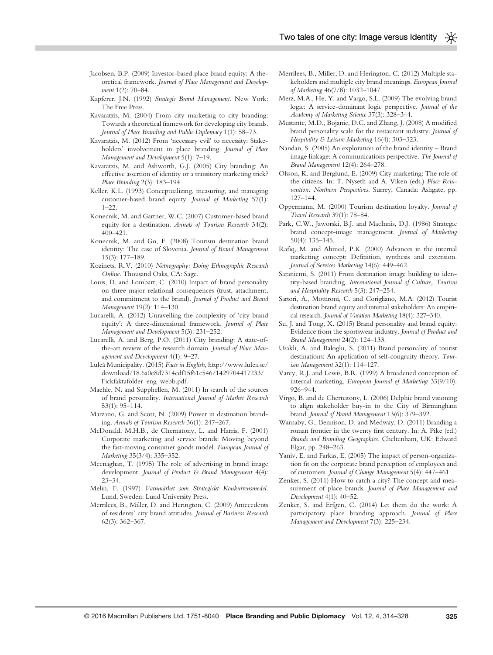- Jacobsen, B.P. (2009) Investor-based place brand equity: A theoretical framework. Journal of Place Management and Development 1(2): 70–84.
- Kapferer, J.N. (1992) Strategic Brand Management. New York: The Free Press.
- Kavaratzis, M. (2004) From city marketing to city branding: Towards a theoretical framework for developing city brands. Journal of Place Branding and Public Diplomacy 1(1): 58–73.
- Kavaratzis, M. (2012) From 'necessary evil' to necessity: Stakeholders' involvement in place branding. Journal of Place Management and Development 5(1): 7–19.
- Kavaratzis, M. and Ashworth, G.J. (2005) City branding: An effective assertion of identity or a transitory marketing trick? Place Branding 2(3): 183–194.
- Keller, K.L. (1993) Conceptualizing, measuring, and managing customer-based brand equity. Journal of Marketing 57(1):  $1 - 22$
- Konecnik, M. and Gartner, W.C. (2007) Customer-based brand equity for a destination. Annals of Tourism Research 34(2): 400–421.
- Konecnik, M. and Go, F. (2008) Tourism destination brand identity: The case of Slovenia. Journal of Brand Management 15(3): 177–189.
- Kozinets, R.V. (2010) Netnography: Doing Ethnographic Research Online. Thousand Oaks, CA: Sage.
- Louis, D. and Lombart, C. (2010) Impact of brand personality on three major relational consequences (trust, attachment, and commitment to the brand). Journal of Product and Brand Management 19(2): 114–130.
- Lucarelli, A. (2012) Unravelling the complexity of 'city brand equity': A three-dimensional framework. Journal of Place Management and Development 5(3): 231–252.
- Lucarelli, A. and Berg, P.O. (2011) City branding: A state-ofthe-art review of the research domain. Journal of Place Management and Development 4(1): 9–27.
- Luleå Municipality. (2015) Facts in English, http://www.lulea.se/ download/18.6a0e8d7314cdf15f61c546/1429704417233/ Fickfaktafolder\_eng\_webb.pdf.
- Maehle, N. and Supphellen, M. (2011) In search of the sources of brand personality. International Journal of Market Research 53(1): 95–114.
- Marzano, G. and Scott, N. (2009) Power in destination branding. Annals of Tourism Research 36(1): 247–267.
- McDonald, M.H.B., de Chernatony, L. and Harris, F. (2001) Corporate marketing and service brands: Moving beyond the fast-moving consumer goods model. European Journal of Marketing 35(3/4): 335–352.
- Meenaghan, T. (1995) The role of advertising in brand image development. Journal of Product & Brand Management 4(4): 23–34.
- Melin, F. (1997) Varumärket som Strategiskt Konkurrensmedel. Lund, Sweden: Lund University Press.
- Merrilees, B., Miller, D. and Herington, C. (2009) Antecedents of residents' city brand attitudes. Journal of Business Research 62(3): 362–367.
- Merrilees, B., Miller, D. and Herington, C. (2012) Multiple stakeholders and multiple city brand meanings. European Journal of Marketing 46(7/8): 1032–1047.
- Merz, M.A., He, Y. and Vargo, S.L. (2009) The evolving brand logic: A service-dominant logic perspective. Journal of the Academy of Marketing Science 37(3): 328–344.
- Mustante, M.D., Bojanic, D.C. and Zhang, J. (2008) A modified brand personality scale for the restaurant industry. Journal of Hospitality & Leisure Marketing 16(4): 303–323.
- Nandan, S. (2005) An exploration of the brand identity Brand image linkage: A communications perspective. The Journal of Brand Management 12(4): 264–278.
- Olsson, K. and Berglund, E. (2009) City marketing: The role of the citizens. In: T. Nyseth and A. Viken (eds.) Place Reinvention: Northern Perspectives. Surrey, Canada: Ashgate, pp. 127–144.
- Oppermann, M. (2000) Tourism destination loyalty. Journal of Travel Research 39(1): 78–84.
- Park, C.W., Jaworski, B.J. and MacInnis, D.J. (1986) Strategic brand concept-image management. Journal of Marketing 50(4): 135–145.
- Rafiq, M. and Ahmed, P.K. (2000) Advances in the internal marketing concept: Definition, synthesis and extension. Journal of Services Marketing 14(6): 449–462.
- Saraniemi, S. (2011) From destination image building to identity-based branding. International Journal of Culture, Tourism and Hospitality Research 5(3): 247–254.
- Sartori, A., Mottironi, C. and Corigliano, M.A. (2012) Tourist destination brand equity and internal stakeholders: An empirical research. Journal of Vacation Marketing 18(4): 327–340.
- Su, J. and Tong, X. (2015) Brand personality and brand equity: Evidence from the sportswear industry. Journal of Product and Brand Management 24(2): 124–133.
- Usakli, A. and Baloglu, S. (2011) Brand personality of tourist destinations: An application of self-congruity theory. Tourism Management 32(1): 114–127.
- Varey, R.J. and Lewis, B.R. (1999) A broadened conception of internal marketing. European Journal of Marketing 33(9/10): 926–944.
- Virgo, B. and de Chernatony, L. (2006) Delphic brand visioning to align stakeholder buy-in to the City of Birmingham brand. Journal of Brand Management 13(6): 379–392.
- Warnaby, G., Bennison, D. and Medway, D. (2011) Branding a roman frontier in the twenty first century. In: A. Pike (ed.) Brands and Branding Geographies. Cheltenham, UK: Edward Elgar, pp. 248–263.
- Yaniv, E. and Farkas, E. (2005) The impact of person-organization fit on the corporate brand perception of employees and of customers. Journal of Change Management 5(4): 447–461.
- Zenker, S. (2011) How to catch a city? The concept and measurement of place brands. Journal of Place Management and Development 4(1): 40–52.
- Zenker, S. and Erfgen, C. (2014) Let them do the work: A participatory place branding approach. Journal of Place Management and Development 7(3): 225–234.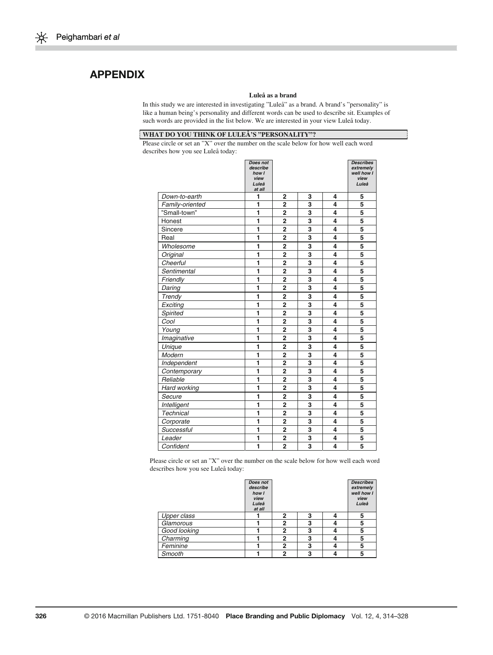# APPENDIX

#### **Luleå as a brand**

In this study we are interested in investigating "Luleå" as a brand. A brand's "personality" is like a human being's personality and different words can be used to describe sit. Examples of such words are provided in the list below. We are interested in your view Luleå today.

#### **WHAT DO YOU THINK OF LULEÅ'S "PERSONALITY"?**

Please circle or set an "X" over the number on the scale below for how well each word describes how you see Luleå today:

|                  | Does not<br>describe<br>how I<br>view<br>Luleå<br>at all |                |   |                         | <b>Describes</b><br>extremely<br>well how I<br>view<br>Luleå |
|------------------|----------------------------------------------------------|----------------|---|-------------------------|--------------------------------------------------------------|
| Down-to-earth    | 1                                                        | $\overline{2}$ | 3 | 4                       | 5                                                            |
| Family-oriented  | 1                                                        | $\overline{2}$ | 3 | 4                       | 5                                                            |
| "Small-town"     | 1                                                        | $\overline{2}$ | 3 | 4                       | 5                                                            |
| Honest           | 1                                                        | $\overline{2}$ | 3 | 4                       | 5                                                            |
| Sincere          | 1                                                        | $\overline{2}$ | 3 | $\overline{4}$          | 5                                                            |
| Real             | 1                                                        | $\overline{2}$ | 3 | $\overline{4}$          | 5                                                            |
| Wholesome        | 1                                                        | $\overline{2}$ | 3 | 4                       | 5                                                            |
| Original         | 1                                                        | $\overline{2}$ | 3 | 4                       | 5                                                            |
| Cheerful         | 1                                                        | $\overline{2}$ | 3 | 4                       | 5                                                            |
| Sentimental      | 1                                                        | $\overline{2}$ | 3 | 4                       | 5                                                            |
| Friendly         | 1                                                        | $\overline{2}$ | 3 | 4                       | 5                                                            |
| Daring           | 1                                                        | $\overline{2}$ | 3 | 4                       | 5                                                            |
| Trendy           | 1                                                        | $\overline{2}$ | 3 | 4                       | 5                                                            |
| Exciting         | 1                                                        | $\overline{2}$ | 3 | $\overline{4}$          | 5                                                            |
| Spirited         | 1                                                        | $\overline{2}$ | 3 | 4                       | 5                                                            |
| Cool             | 1                                                        | $\overline{2}$ | 3 | 4                       | 5                                                            |
| Young            | 1                                                        | $\overline{2}$ | 3 | 4                       | 5                                                            |
| Imaginative      | 1                                                        | $\overline{2}$ | 3 | 4                       | 5                                                            |
| Unique           | 1                                                        | $\overline{2}$ | 3 | $\overline{4}$          | 5                                                            |
| Modern           | 1                                                        | $\overline{2}$ | 3 | 4                       | 5                                                            |
| Independent      | 1                                                        | $\overline{2}$ | 3 | 4                       | 5                                                            |
| Contemporary     | 1                                                        | $\overline{2}$ | 3 | 4                       | 5                                                            |
| Reliable         | 1                                                        | $\overline{2}$ | 3 | 4                       | 5                                                            |
| Hard working     | 1                                                        | $\overline{2}$ | 3 | 4                       | 5                                                            |
| Secure           | 1                                                        | $\overline{2}$ | 3 | $\overline{\mathbf{4}}$ | 5                                                            |
| Intelligent      | 1                                                        | $\overline{2}$ | 3 | $\overline{4}$          | 5                                                            |
| <b>Technical</b> | 1                                                        | $\overline{2}$ | 3 | $\overline{4}$          | 5                                                            |
| Corporate        | 1                                                        | $\overline{2}$ | 3 | $\overline{4}$          | 5                                                            |
| Successful       | 1                                                        | $\overline{2}$ | 3 | 4                       | 5                                                            |
| Leader           | 1                                                        | $\overline{2}$ | 3 | 4                       | 5                                                            |
| Confident        | 1                                                        | $\overline{2}$ | 3 | 4                       | 5                                                            |

Please circle or set an "X" over the number on the scale below for how well each word describes how you see Luleå today:

|              | Does not<br>describe<br>how I<br>view<br>Luleå<br>at all |   |   | <b>Describes</b><br>extremely<br>well how I<br>view<br>Luleå |
|--------------|----------------------------------------------------------|---|---|--------------------------------------------------------------|
| Upper class  |                                                          | ິ | 3 | 5                                                            |
| Glamorous    |                                                          | 2 | 3 | 5                                                            |
| Good looking |                                                          | ◠ | 3 | 5                                                            |
| Charming     |                                                          | 2 | 3 | 5                                                            |
| Feminine     |                                                          | י | 3 | 5                                                            |
| Smooth       |                                                          | ◠ | 3 | 5                                                            |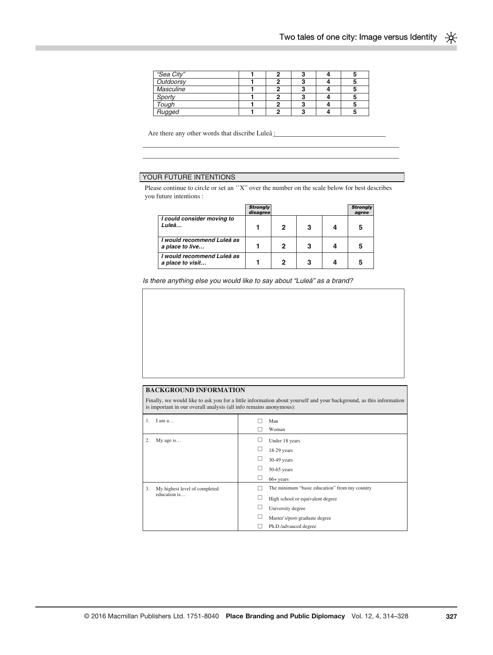| "Sea City" |  |  |  |
|------------|--|--|--|
| Outdoorsy  |  |  |  |
| Masculine  |  |  |  |
| Sporty     |  |  |  |
| Tough      |  |  |  |
| Rugged     |  |  |  |

Are there any other words that discribe Luleå :

#### YOUR FUTURE INTENTIONS

Please continue to circle or set an ''X" over the number on the scale below for best describes you future intentions :

|                                                | <b>Strongly</b><br>disagree |   |   | <b>Strongly</b><br>agree |
|------------------------------------------------|-----------------------------|---|---|--------------------------|
| I could consider moving to<br>Luleå            |                             | 2 | З | 5                        |
| I would recommend Luleå as<br>a place to live  |                             | 2 | З | 5                        |
| I would recommend Luleå as<br>a place to visit |                             |   | 3 | 5                        |

Is there anything else you would like to say about "Luleå" as a brand?

#### **BACKGROUND INFORMATION** Finally, we would like to ask you for a little information about yourself and your background, as this information is important in our overall analysis (all info remains anonymous): 1. I am a... Woman - 2. My age is...  $\Box$  Under 18 years  $\Box$  18-29 years  $\Box$  30-49 years  $\Box$  50-65 years  $\Box$  66+ years 3. My highest level of completed education is… □ The minimum "basic education" from my country  $\Box$  High school or equivalent degree  $\Box$  University degree Master's/post-graduate degree - □ Ph.D./advanced degree  $\Box$